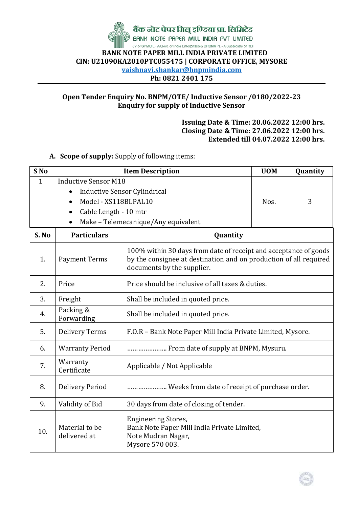

बैंक नोट पेपर मिलू इण्डिया प्रा. लिमिटेड BANK NOTE PAPER MILL INDIA PVT UMITED

JV of SPMCIL - A Govt. of India Enterprises & BRBNMPL - A Subsidiary of RBI  **BANK NOTE PAPER MILL INDIA PRIVATE LIMITED CIN: U21090KA2010PTC055475 | CORPORATE OFFICE, MYSORE vaishnavi.shankar@bnpmindia.com Ph: 0821 2401 175**

## **Open Tender Enquiry No. BNPM/OTE/ Inductive Sensor /0180/2022-23 Enquiry for supply of Inductive Sensor**

## **Issuing Date & Time: 20.06.2022 12:00 hrs. Closing Date & Time: 27.06.2022 12:00 hrs. Extended till 04.07.2022 12:00 hrs.**

## **A. Scope of supply:** Supply of following items:

| S <sub>No</sub> | <b>Item Description</b>                                       | <b>UOM</b>                                                                                                                                                          | Quantity |  |  |  |  |
|-----------------|---------------------------------------------------------------|---------------------------------------------------------------------------------------------------------------------------------------------------------------------|----------|--|--|--|--|
| 1               | <b>Inductive Sensor M18</b>                                   |                                                                                                                                                                     |          |  |  |  |  |
|                 | <b>Inductive Sensor Cylindrical</b>                           |                                                                                                                                                                     |          |  |  |  |  |
|                 | Model - XS118BLPAL10<br>$\bullet$                             | Nos.                                                                                                                                                                | 3        |  |  |  |  |
|                 | Cable Length - 10 mtr<br>٠                                    |                                                                                                                                                                     |          |  |  |  |  |
|                 | Make - Telemecanique/Any equivalent                           |                                                                                                                                                                     |          |  |  |  |  |
| S. No           | <b>Particulars</b>                                            | Quantity                                                                                                                                                            |          |  |  |  |  |
| 1.              | <b>Payment Terms</b>                                          | 100% within 30 days from date of receipt and acceptance of goods<br>by the consignee at destination and on production of all required<br>documents by the supplier. |          |  |  |  |  |
| 2.              | Price should be inclusive of all taxes & duties.<br>Price     |                                                                                                                                                                     |          |  |  |  |  |
| 3.              | Freight                                                       | Shall be included in quoted price.                                                                                                                                  |          |  |  |  |  |
| 4.              | Packing &<br>Shall be included in quoted price.<br>Forwarding |                                                                                                                                                                     |          |  |  |  |  |
| 5.              | <b>Delivery Terms</b>                                         | F.O.R - Bank Note Paper Mill India Private Limited, Mysore.                                                                                                         |          |  |  |  |  |
| 6.              | <b>Warranty Period</b>                                        | From date of supply at BNPM, Mysuru.                                                                                                                                |          |  |  |  |  |
| 7.              | Warranty<br>Certificate                                       | Applicable / Not Applicable                                                                                                                                         |          |  |  |  |  |
| 8.              | <b>Delivery Period</b>                                        | Weeks from date of receipt of purchase order.                                                                                                                       |          |  |  |  |  |
| 9.              | Validity of Bid                                               | 30 days from date of closing of tender.                                                                                                                             |          |  |  |  |  |
| 10.             | Material to be<br>delivered at                                | <b>Engineering Stores,</b><br>Bank Note Paper Mill India Private Limited,<br>Note Mudran Nagar,<br>Mysore 570 003.                                                  |          |  |  |  |  |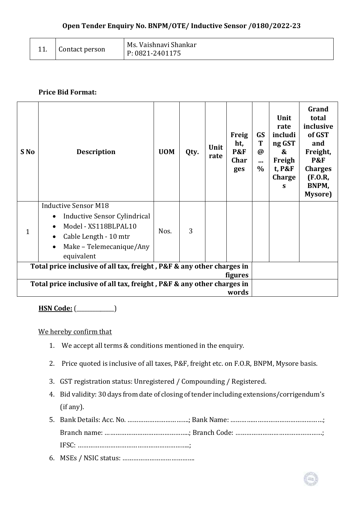|  | Contact person | Ms. Vaishnavi Shankar<br>P: 0821-2401175 |
|--|----------------|------------------------------------------|
|--|----------------|------------------------------------------|

## **Price Bid Format:**

| S No                                                                                    | <b>Description</b>                                                | <b>UOM</b> | Qty. | Unit<br>rate | <b>Freig</b><br>ht,<br><b>P&amp;F</b><br>Char<br>ges | <b>GS</b><br>T<br>$\boldsymbol{\varnothing}$<br>$\cdots$<br>$\%$ | Unit<br>rate<br>includi<br>ng GST<br>$\boldsymbol{\mathcal{S}}$<br>Freigh<br>t, P&F<br>Charge<br>S | Grand<br>total<br>inclusive<br>of GST<br>and<br>Freight,<br><b>P&amp;F</b><br><b>Charges</b><br>(F.0.R,<br>BNPM,<br>Mysore) |
|-----------------------------------------------------------------------------------------|-------------------------------------------------------------------|------------|------|--------------|------------------------------------------------------|------------------------------------------------------------------|----------------------------------------------------------------------------------------------------|-----------------------------------------------------------------------------------------------------------------------------|
|                                                                                         | <b>Inductive Sensor M18</b>                                       |            | 3    |              |                                                      |                                                                  |                                                                                                    |                                                                                                                             |
| 1                                                                                       | Inductive Sensor Cylindrical<br>$\bullet$<br>Model - XS118BLPAL10 | Nos.       |      |              |                                                      |                                                                  |                                                                                                    |                                                                                                                             |
|                                                                                         | Cable Length - 10 mtr                                             |            |      |              |                                                      |                                                                  |                                                                                                    |                                                                                                                             |
|                                                                                         | Make – Telemecanique/Any<br>equivalent                            |            |      |              |                                                      |                                                                  |                                                                                                    |                                                                                                                             |
| Total price inclusive of all tax, freight, P&F & any other charges in<br><b>figures</b> |                                                                   |            |      |              |                                                      |                                                                  |                                                                                                    |                                                                                                                             |
| Total price inclusive of all tax, freight, P&F & any other charges in                   |                                                                   |            |      |              |                                                      |                                                                  |                                                                                                    |                                                                                                                             |
| words                                                                                   |                                                                   |            |      |              |                                                      |                                                                  |                                                                                                    |                                                                                                                             |

**HSN Code:** (\_\_\_\_\_\_\_\_\_\_\_\_\_\_)

We hereby confirm that

- 1. We accept all terms & conditions mentioned in the enquiry.
- 2. Price quoted is inclusive of all taxes, P&F, freight etc. on F.O.R, BNPM, Mysore basis.
- 3. GST registration status: Unregistered / Compounding / Registered.
- 4. Bid validity: 30 days from date of closing of tender including extensions/corrigendum's (if any).
- 5. Bank Details: Acc. No. …………………………….; Bank Name: ……………………………………………; Branch name: ………………………………………..; Branch Code: …………………………………………; IFSC: ……………………………………………………..;
- 6. MSEs / NSIC status: ………………………………….